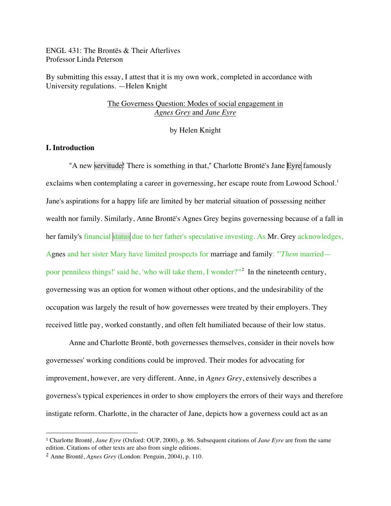ENGL 431: The Brontës & Their Afterlives Professor Linda Peterson

By submitting this essay, I attest that it is my own work, completed in accordance with University regulations. —Helen Knight

# The Governess Question: Modes of social engagement in *Agnes Grey* and *Jane Eyre*

by Helen Knight

# **I. Introduction**

"A new servitude! There is something in that," Charlotte Brontë's Jane Eyre famously exclaims when contemplating a career in governessing, her escape route from Lowood School.<sup>1</sup> Jane's aspirations for a happy life are limited by her material situation of possessing neither wealth nor family. Similarly, Anne Brontë's Agnes Grey begins governessing because of a fall in her family's financial status due to her father's speculative investing. As Mr. Grey acknowledges, Agnes and her sister Mary have limited prospects for marriage and family: "'*Them* married poor penniless things!' said he, 'who will take them, I wonder?'"<sup>2</sup> In the nineteenth century, governessing was an option for women without other options, and the undesirability of the occupation was largely the result of how governesses were treated by their employers. They received little pay, worked constantly, and often felt humiliated because of their low status.

Anne and Charlotte Brontë, both governesses themselves, consider in their novels how governesses' working conditions could be improved. Their modes for advocating for improvement, however, are very different. Anne, in *Agnes Grey*, extensively describes a governess's typical experiences in order to show employers the errors of their ways and therefore instigate reform. Charlotte, in the character of Jane, depicts how a governess could act as an

<sup>1</sup> Charlotte Brontë, *Jane Eyre* (Oxford: OUP, 2000), p. 86. Subsequent citations of *Jane Eyre* are from the same edition. Citations of other texts are also from single editions.

<sup>2</sup> Anne Brontë, *Agnes Grey* (London: Penguin, 2004), p. 110.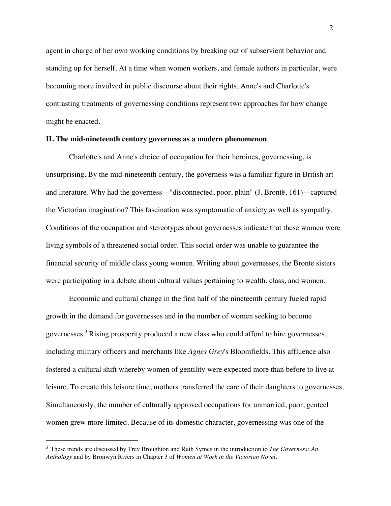agent in charge of her own working conditions by breaking out of subservient behavior and standing up for herself. At a time when women workers, and female authors in particular, were becoming more involved in public discourse about their rights, Anne's and Charlotte's contrasting treatments of governessing conditions represent two approaches for how change might be enacted.

#### **II. The mid-nineteenth century governess as a modern phenomenon**

Charlotte's and Anne's choice of occupation for their heroines, governessing, is unsurprising. By the mid-nineteenth century, the governess was a familiar figure in British art and literature. Why had the governess—"disconnected, poor, plain" (J. Brontë, 161)—captured the Victorian imagination? This fascination was symptomatic of anxiety as well as sympathy. Conditions of the occupation and stereotypes about governesses indicate that these women were living symbols of a threatened social order. This social order was unable to guarantee the financial security of middle class young women. Writing about governesses, the Brontë sisters were participating in a debate about cultural values pertaining to wealth, class, and women.

Economic and cultural change in the first half of the nineteenth century fueled rapid growth in the demand for governesses and in the number of women seeking to become governesses.3 Rising prosperity produced a new class who could afford to hire governesses, including military officers and merchants like *Agnes Grey*'s Bloomfields. This affluence also fostered a cultural shift whereby women of gentility were expected more than before to live at leisure. To create this leisure time, mothers transferred the care of their daughters to governesses. Simultaneously, the number of culturally approved occupations for unmarried, poor, genteel women grew more limited. Because of its domestic character, governessing was one of the

<sup>3</sup> These trends are discussed by Trev Broughton and Ruth Symes in the introduction to *The Governess: An Anthology* and by Bronwyn Rivers in Chapter 3 of *Women at Work in the Victorian Novel.*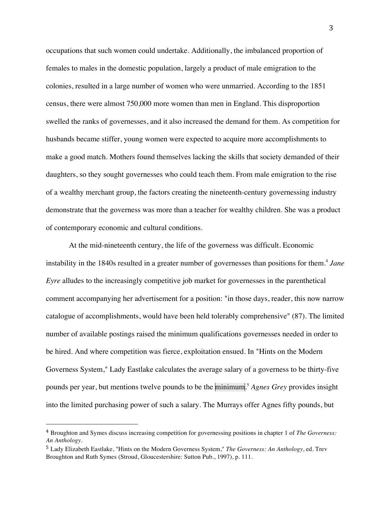occupations that such women could undertake. Additionally, the imbalanced proportion of females to males in the domestic population, largely a product of male emigration to the colonies, resulted in a large number of women who were unmarried. According to the 1851 census, there were almost 750,000 more women than men in England. This disproportion swelled the ranks of governesses, and it also increased the demand for them. As competition for husbands became stiffer, young women were expected to acquire more accomplishments to make a good match. Mothers found themselves lacking the skills that society demanded of their daughters, so they sought governesses who could teach them. From male emigration to the rise of a wealthy merchant group, the factors creating the nineteenth-century governessing industry demonstrate that the governess was more than a teacher for wealthy children. She was a product of contemporary economic and cultural conditions.

At the mid-nineteenth century, the life of the governess was difficult. Economic instability in the 1840s resulted in a greater number of governesses than positions for them.<sup>4</sup> Jane *Eyre* alludes to the increasingly competitive job market for governesses in the parenthetical comment accompanying her advertisement for a position: "in those days, reader, this now narrow catalogue of accomplishments, would have been held tolerably comprehensive" (87). The limited number of available postings raised the minimum qualifications governesses needed in order to be hired. And where competition was fierce, exploitation ensued. In "Hints on the Modern Governess System," Lady Eastlake calculates the average salary of a governess to be thirty-five pounds per year, but mentions twelve pounds to be the minimum. <sup>5</sup> *Agnes Grey* provides insight into the limited purchasing power of such a salary. The Murrays offer Agnes fifty pounds, but

<sup>4</sup> Broughton and Symes discuss increasing competition for governessing positions in chapter 1 of *The Governess: An Anthology.*

<sup>5</sup> Lady Elizabeth Eastlake, "Hints on the Modern Governess System," *The Governess: An Anthology*, ed. Trev Broughton and Ruth Symes (Stroud, Gloucestershire: Sutton Pub., 1997), p. 111.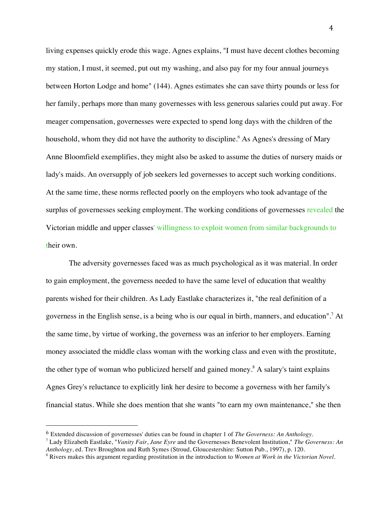living expenses quickly erode this wage. Agnes explains, "I must have decent clothes becoming my station, I must, it seemed, put out my washing, and also pay for my four annual journeys between Horton Lodge and home" (144). Agnes estimates she can save thirty pounds or less for her family, perhaps more than many governesses with less generous salaries could put away. For meager compensation, governesses were expected to spend long days with the children of the household, whom they did not have the authority to discipline.<sup>6</sup> As Agnes's dressing of Mary Anne Bloomfield exemplifies, they might also be asked to assume the duties of nursery maids or lady's maids. An oversupply of job seekers led governesses to accept such working conditions. At the same time, these norms reflected poorly on the employers who took advantage of the surplus of governesses seeking employment. The working conditions of governesses revealed the Victorian middle and upper classes' willingness to exploit women from similar backgrounds to their own.

The adversity governesses faced was as much psychological as it was material. In order to gain employment, the governess needed to have the same level of education that wealthy parents wished for their children. As Lady Eastlake characterizes it, "the real definition of a governess in the English sense, is a being who is our equal in birth, manners, and education". <sup>7</sup> At the same time, by virtue of working, the governess was an inferior to her employers. Earning money associated the middle class woman with the working class and even with the prostitute, the other type of woman who publicized herself and gained money.<sup>8</sup> A salary's taint explains Agnes Grey's reluctance to explicitly link her desire to become a governess with her family's financial status. While she does mention that she wants "to earn my own maintenance," she then

<sup>6</sup> Extended discussion of governesses' duties can be found in chapter 1 of *The Governess: An Anthology.*

<sup>7</sup> Lady Elizabeth Eastlake, "*Vanity Fair*, *Jane Eyre* and the Governesses Benevolent Institution," *The Governess: An*  Anthology, ed. Trev Broughton and Ruth Symes (Stroud, Gloucestershire: Sutton Pub., 1997), p. 120.<br><sup>8</sup> Rivers makes this argument regarding prostitution in the introduction to Women at Work in the Victorian Novel.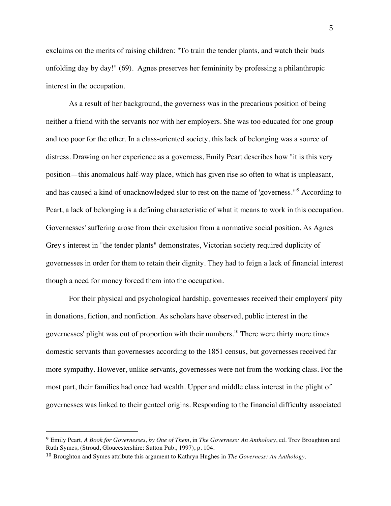exclaims on the merits of raising children: "To train the tender plants, and watch their buds unfolding day by day!" (69). Agnes preserves her femininity by professing a philanthropic interest in the occupation.

As a result of her background, the governess was in the precarious position of being neither a friend with the servants nor with her employers. She was too educated for one group and too poor for the other. In a class-oriented society, this lack of belonging was a source of distress. Drawing on her experience as a governess, Emily Peart describes how "it is this very position—this anomalous half-way place, which has given rise so often to what is unpleasant, and has caused a kind of unacknowledged slur to rest on the name of 'governess.'"9 According to Peart, a lack of belonging is a defining characteristic of what it means to work in this occupation. Governesses' suffering arose from their exclusion from a normative social position. As Agnes Grey's interest in "the tender plants" demonstrates, Victorian society required duplicity of governesses in order for them to retain their dignity. They had to feign a lack of financial interest though a need for money forced them into the occupation.

For their physical and psychological hardship, governesses received their employers' pity in donations, fiction, and nonfiction. As scholars have observed, public interest in the governesses' plight was out of proportion with their numbers.<sup>10</sup> There were thirty more times domestic servants than governesses according to the 1851 census, but governesses received far more sympathy. However, unlike servants, governesses were not from the working class. For the most part, their families had once had wealth. Upper and middle class interest in the plight of governesses was linked to their genteel origins. Responding to the financial difficulty associated

<sup>9</sup> Emily Peart, *A Book for Governesses, by One of Them*, in *The Governess: An Anthology*, ed. Trev Broughton and Ruth Symes, (Stroud, Gloucestershire: Sutton Pub., 1997), p. 104.

<sup>10</sup> Broughton and Symes attribute this argument to Kathryn Hughes in *The Governess: An Anthology.*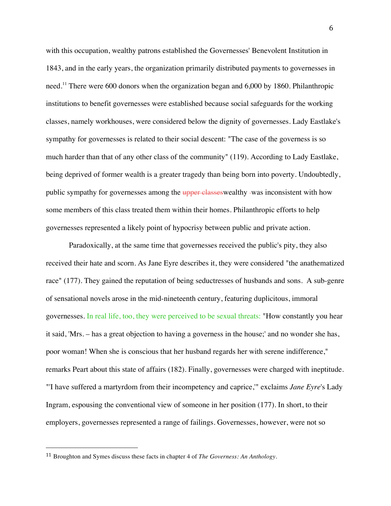with this occupation, wealthy patrons established the Governesses' Benevolent Institution in 1843, and in the early years, the organization primarily distributed payments to governesses in need.<sup>11</sup> There were 600 donors when the organization began and 6,000 by 1860. Philanthropic institutions to benefit governesses were established because social safeguards for the working classes, namely workhouses, were considered below the dignity of governesses. Lady Eastlake's sympathy for governesses is related to their social descent: "The case of the governess is so much harder than that of any other class of the community" (119). According to Lady Eastlake, being deprived of former wealth is a greater tragedy than being born into poverty. Undoubtedly, public sympathy for governesses among the upper classes wealthy -was inconsistent with how some members of this class treated them within their homes. Philanthropic efforts to help governesses represented a likely point of hypocrisy between public and private action.

Paradoxically, at the same time that governesses received the public's pity, they also received their hate and scorn. As Jane Eyre describes it, they were considered "the anathematized race" (177). They gained the reputation of being seductresses of husbands and sons. A sub-genre of sensational novels arose in the mid-nineteenth century, featuring duplicitous, immoral governesses. In real life, too, they were perceived to be sexual threats: "How constantly you hear it said, 'Mrs. – has a great objection to having a governess in the house;' and no wonder she has, poor woman! When she is conscious that her husband regards her with serene indifference," remarks Peart about this state of affairs (182). Finally, governesses were charged with ineptitude. "'I have suffered a martyrdom from their incompetency and caprice,'" exclaims *Jane Eyre*'s Lady Ingram, espousing the conventional view of someone in her position (177). In short, to their employers, governesses represented a range of failings. Governesses, however, were not so

<sup>11</sup> Broughton and Symes discuss these facts in chapter 4 of *The Governess: An Anthology.*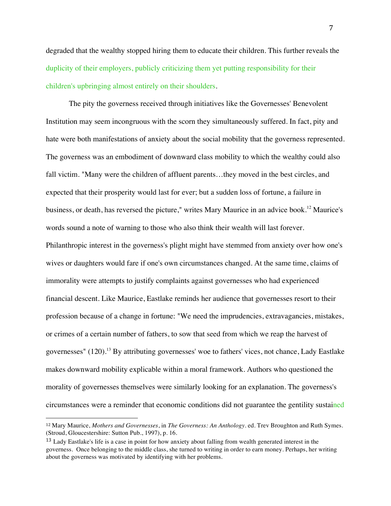degraded that the wealthy stopped hiring them to educate their children. This further reveals the duplicity of their employers, publicly criticizing them yet putting responsibility for their children's upbringing almost entirely on their shoulders.

The pity the governess received through initiatives like the Governesses' Benevolent Institution may seem incongruous with the scorn they simultaneously suffered. In fact, pity and hate were both manifestations of anxiety about the social mobility that the governess represented. The governess was an embodiment of downward class mobility to which the wealthy could also fall victim. "Many were the children of affluent parents…they moved in the best circles, and expected that their prosperity would last for ever; but a sudden loss of fortune, a failure in business, or death, has reversed the picture," writes Mary Maurice in an advice book. <sup>12</sup> Maurice's words sound a note of warning to those who also think their wealth will last forever. Philanthropic interest in the governess's plight might have stemmed from anxiety over how one's wives or daughters would fare if one's own circumstances changed. At the same time, claims of immorality were attempts to justify complaints against governesses who had experienced financial descent. Like Maurice, Eastlake reminds her audience that governesses resort to their profession because of a change in fortune: "We need the imprudencies, extravagancies, mistakes, or crimes of a certain number of fathers, to sow that seed from which we reap the harvest of governesses"  $(120)^{13}$  By attributing governesses' woe to fathers' vices, not chance, Lady Eastlake makes downward mobility explicable within a moral framework. Authors who questioned the morality of governesses themselves were similarly looking for an explanation. The governess's circumstances were a reminder that economic conditions did not guarantee the gentility sustained

<sup>12</sup> Mary Maurice, *Mothers and Governesses*, in *The Governess: An Anthology*. ed. Trev Broughton and Ruth Symes. (Stroud, Gloucestershire: Sutton Pub., 1997), p. 16.

<sup>&</sup>lt;sup>13</sup> Lady Eastlake's life is a case in point for how anxiety about falling from wealth generated interest in the governess. Once belonging to the middle class, she turned to writing in order to earn money. Perhaps, her writing about the governess was motivated by identifying with her problems.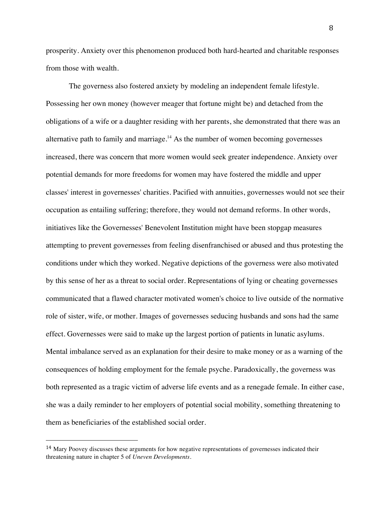prosperity. Anxiety over this phenomenon produced both hard-hearted and charitable responses from those with wealth.

The governess also fostered anxiety by modeling an independent female lifestyle. Possessing her own money (however meager that fortune might be) and detached from the obligations of a wife or a daughter residing with her parents, she demonstrated that there was an alternative path to family and marriage.<sup>14</sup> As the number of women becoming governesses increased, there was concern that more women would seek greater independence. Anxiety over potential demands for more freedoms for women may have fostered the middle and upper classes' interest in governesses' charities. Pacified with annuities, governesses would not see their occupation as entailing suffering; therefore, they would not demand reforms. In other words, initiatives like the Governesses' Benevolent Institution might have been stopgap measures attempting to prevent governesses from feeling disenfranchised or abused and thus protesting the conditions under which they worked. Negative depictions of the governess were also motivated by this sense of her as a threat to social order. Representations of lying or cheating governesses communicated that a flawed character motivated women's choice to live outside of the normative role of sister, wife, or mother. Images of governesses seducing husbands and sons had the same effect. Governesses were said to make up the largest portion of patients in lunatic asylums. Mental imbalance served as an explanation for their desire to make money or as a warning of the consequences of holding employment for the female psyche. Paradoxically, the governess was both represented as a tragic victim of adverse life events and as a renegade female. In either case, she was a daily reminder to her employers of potential social mobility, something threatening to them as beneficiaries of the established social order.

<sup>14</sup> Mary Poovey discusses these arguments for how negative representations of governesses indicated their threatening nature in chapter 5 of *Uneven Developments*.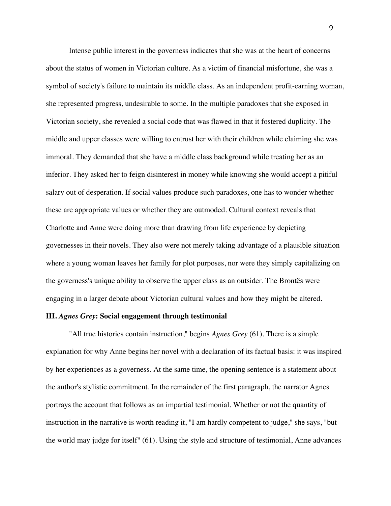Intense public interest in the governess indicates that she was at the heart of concerns about the status of women in Victorian culture. As a victim of financial misfortune, she was a symbol of society's failure to maintain its middle class. As an independent profit-earning woman, she represented progress, undesirable to some. In the multiple paradoxes that she exposed in Victorian society, she revealed a social code that was flawed in that it fostered duplicity. The middle and upper classes were willing to entrust her with their children while claiming she was immoral. They demanded that she have a middle class background while treating her as an inferior. They asked her to feign disinterest in money while knowing she would accept a pitiful salary out of desperation. If social values produce such paradoxes, one has to wonder whether these are appropriate values or whether they are outmoded. Cultural context reveals that Charlotte and Anne were doing more than drawing from life experience by depicting governesses in their novels. They also were not merely taking advantage of a plausible situation where a young woman leaves her family for plot purposes, nor were they simply capitalizing on the governess's unique ability to observe the upper class as an outsider. The Brontës were engaging in a larger debate about Victorian cultural values and how they might be altered.

### **III.** *Agnes Grey***: Social engagement through testimonial**

"All true histories contain instruction," begins *Agnes Grey* (61). There is a simple explanation for why Anne begins her novel with a declaration of its factual basis: it was inspired by her experiences as a governess. At the same time, the opening sentence is a statement about the author's stylistic commitment. In the remainder of the first paragraph, the narrator Agnes portrays the account that follows as an impartial testimonial. Whether or not the quantity of instruction in the narrative is worth reading it, "I am hardly competent to judge," she says, "but the world may judge for itself" (61). Using the style and structure of testimonial, Anne advances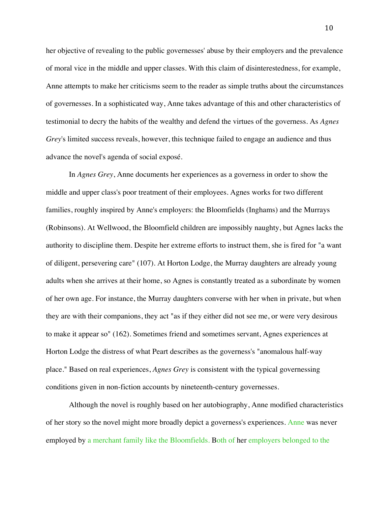her objective of revealing to the public governesses' abuse by their employers and the prevalence of moral vice in the middle and upper classes. With this claim of disinterestedness, for example, Anne attempts to make her criticisms seem to the reader as simple truths about the circumstances of governesses. In a sophisticated way, Anne takes advantage of this and other characteristics of testimonial to decry the habits of the wealthy and defend the virtues of the governess. As *Agnes Grey*'s limited success reveals, however, this technique failed to engage an audience and thus advance the novel's agenda of social exposé.

In *Agnes Grey*, Anne documents her experiences as a governess in order to show the middle and upper class's poor treatment of their employees. Agnes works for two different families, roughly inspired by Anne's employers: the Bloomfields (Inghams) and the Murrays (Robinsons). At Wellwood, the Bloomfield children are impossibly naughty, but Agnes lacks the authority to discipline them. Despite her extreme efforts to instruct them, she is fired for "a want of diligent, persevering care" (107). At Horton Lodge, the Murray daughters are already young adults when she arrives at their home, so Agnes is constantly treated as a subordinate by women of her own age. For instance, the Murray daughters converse with her when in private, but when they are with their companions, they act "as if they either did not see me, or were very desirous to make it appear so" (162). Sometimes friend and sometimes servant, Agnes experiences at Horton Lodge the distress of what Peart describes as the governess's "anomalous half-way place." Based on real experiences, *Agnes Grey* is consistent with the typical governessing conditions given in non-fiction accounts by nineteenth-century governesses.

Although the novel is roughly based on her autobiography, Anne modified characteristics of her story so the novel might more broadly depict a governess's experiences. Anne was never employed by a merchant family like the Bloomfields. Both of her employers belonged to the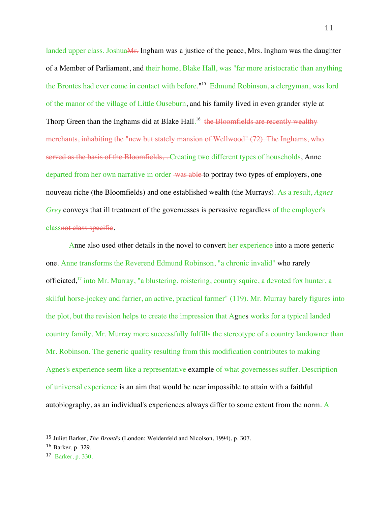landed upper class. JoshuaMr. Ingham was a justice of the peace, Mrs. Ingham was the daughter of a Member of Parliament, and their home, Blake Hall, was "far more aristocratic than anything the Brontës had ever come in contact with before."<sup>15</sup> Edmund Robinson, a clergyman, was lord of the manor of the village of Little Ouseburn, and his family lived in even grander style at Thorp Green than the Inghams did at Blake Hall.<sup>16</sup> the Bloomfields are recently wealthy merchants, inhabiting the "new but stately mansion of Wellwood" (72). The Inghams, who served as the basis of the Bloomfields, . Creating two different types of households, Anne departed from her own narrative in order was able to portray two types of employers, one nouveau riche (the Bloomfields) and one established wealth (the Murrays). As a result, *Agnes Grey* conveys that ill treatment of the governesses is pervasive regardless of the employer's classnot class specific.

Anne also used other details in the novel to convert her experience into a more generic one. Anne transforms the Reverend Edmund Robinson, "a chronic invalid" who rarely officiated,<sup>17</sup> into Mr. Murray, "a blustering, roistering, country squire, a devoted fox hunter, a skilful horse-jockey and farrier, an active, practical farmer" (119). Mr. Murray barely figures into the plot, but the revision helps to create the impression that Agnes works for a typical landed country family. Mr. Murray more successfully fulfills the stereotype of a country landowner than Mr. Robinson. The generic quality resulting from this modification contributes to making Agnes's experience seem like a representative example of what governesses suffer. Description of universal experience is an aim that would be near impossible to attain with a faithful autobiography, as an individual's experiences always differ to some extent from the norm. A

<sup>15</sup> Juliet Barker, *The Brontës* (London: Weidenfeld and Nicolson, 1994), p. 307.

<sup>16</sup> Barker, p. 329.

<sup>17</sup> Barker, p. 330.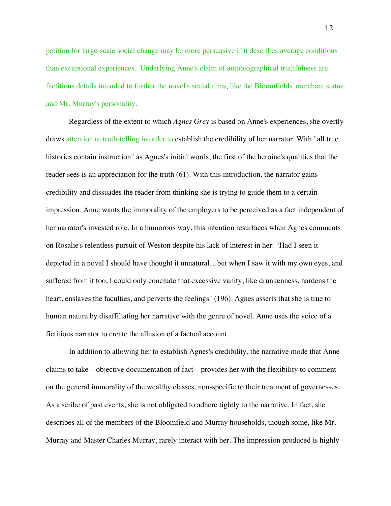petition for large-scale social change may be more persuasive if it describes average conditions than exceptional experiences. Underlying Anne's claim of autobiographical truthfulness are factitious details intended to further the novel's social aims, like the Bloomfields' merchant status and Mr. Murray's personality.

Regardless of the extent to which *Agnes Grey* is based on Anne's experiences, she overtly draws attention to truth-telling in order to establish the credibility of her narrator. With "all true histories contain instruction" as Agnes's initial words, the first of the heroine's qualities that the reader sees is an appreciation for the truth (61). With this introduction, the narrator gains credibility and dissuades the reader from thinking she is trying to guide them to a certain impression. Anne wants the immorality of the employers to be perceived as a fact independent of her narrator's invested role. In a humorous way, this intention resurfaces when Agnes comments on Rosalie's relentless pursuit of Weston despite his lack of interest in her: "Had I seen it depicted in a novel I should have thought it unnatural…but when I saw it with my own eyes, and suffered from it too, I could only conclude that excessive vanity, like drunkenness, hardens the heart, enslaves the faculties, and perverts the feelings" (196). Agnes asserts that she is true to human nature by disaffiliating her narrative with the genre of novel. Anne uses the voice of a fictitious narrator to create the allusion of a factual account.

In addition to allowing her to establish Agnes's credibility, the narrative mode that Anne claims to take—objective documentation of fact—provides her with the flexibility to comment on the general immorality of the wealthy classes, non-specific to their treatment of governesses. As a scribe of past events, she is not obligated to adhere tightly to the narrative. In fact, she describes all of the members of the Bloomfield and Murray households, though some, like Mr. Murray and Master Charles Murray, rarely interact with her. The impression produced is highly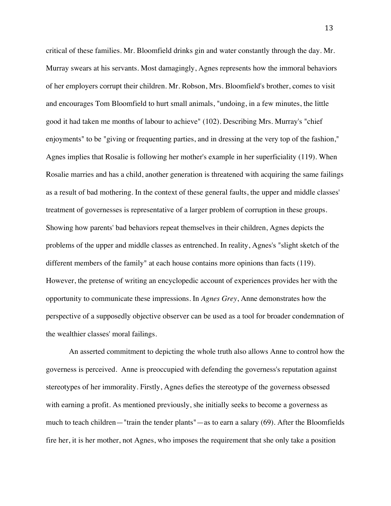critical of these families. Mr. Bloomfield drinks gin and water constantly through the day. Mr. Murray swears at his servants. Most damagingly, Agnes represents how the immoral behaviors of her employers corrupt their children. Mr. Robson, Mrs. Bloomfield's brother, comes to visit and encourages Tom Bloomfield to hurt small animals, "undoing, in a few minutes, the little good it had taken me months of labour to achieve" (102). Describing Mrs. Murray's "chief enjoyments" to be "giving or frequenting parties, and in dressing at the very top of the fashion," Agnes implies that Rosalie is following her mother's example in her superficiality (119). When Rosalie marries and has a child, another generation is threatened with acquiring the same failings as a result of bad mothering. In the context of these general faults, the upper and middle classes' treatment of governesses is representative of a larger problem of corruption in these groups. Showing how parents' bad behaviors repeat themselves in their children, Agnes depicts the problems of the upper and middle classes as entrenched. In reality, Agnes's "slight sketch of the different members of the family" at each house contains more opinions than facts (119). However, the pretense of writing an encyclopedic account of experiences provides her with the opportunity to communicate these impressions. In *Agnes Grey*, Anne demonstrates how the perspective of a supposedly objective observer can be used as a tool for broader condemnation of the wealthier classes' moral failings.

An asserted commitment to depicting the whole truth also allows Anne to control how the governess is perceived. Anne is preoccupied with defending the governess's reputation against stereotypes of her immorality. Firstly, Agnes defies the stereotype of the governess obsessed with earning a profit. As mentioned previously, she initially seeks to become a governess as much to teach children—"train the tender plants"—as to earn a salary (69). After the Bloomfields fire her, it is her mother, not Agnes, who imposes the requirement that she only take a position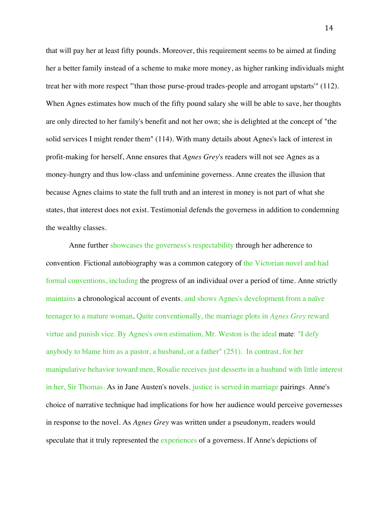that will pay her at least fifty pounds. Moreover, this requirement seems to be aimed at finding her a better family instead of a scheme to make more money, as higher ranking individuals might treat her with more respect "'than those purse-proud trades-people and arrogant upstarts'" (112). When Agnes estimates how much of the fifty pound salary she will be able to save, her thoughts are only directed to her family's benefit and not her own; she is delighted at the concept of "the solid services I might render them" (114). With many details about Agnes's lack of interest in profit-making for herself, Anne ensures that *Agnes Grey*'s readers will not see Agnes as a money-hungry and thus low-class and unfeminine governess. Anne creates the illusion that because Agnes claims to state the full truth and an interest in money is not part of what she states, that interest does not exist. Testimonial defends the governess in addition to condemning the wealthy classes.

Anne further showcases the governess's respectability through her adherence to convention. Fictional autobiography was a common category of the Victorian novel and had formal conventions, including the progress of an individual over a period of time. Anne strictly maintains a chronological account of events, and shows Agnes's development from a naïve teenager to a mature woman. Quite conventionally, the marriage plots in *Agnes Grey* reward virtue and punish vice. By Agnes's own estimation, Mr. Weston is the ideal mate: "I defy anybody to blame him as a pastor, a husband, or a father" (251). In contrast, for her manipulative behavior toward men, Rosalie receives just desserts in a husband with little interest in her, Sir Thomas. As in Jane Austen's novels, justice is served in marriage pairings. Anne's choice of narrative technique had implications for how her audience would perceive governesses in response to the novel. As *Agnes Grey* was written under a pseudonym, readers would speculate that it truly represented the experiences of a governess. If Anne's depictions of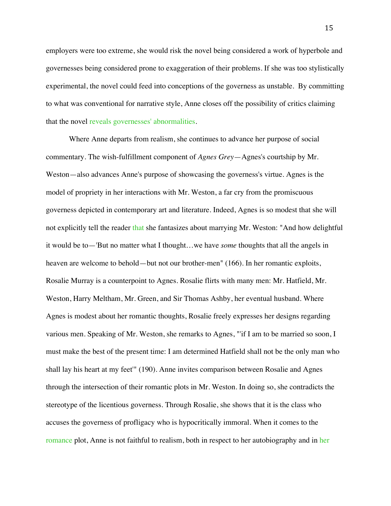employers were too extreme, she would risk the novel being considered a work of hyperbole and governesses being considered prone to exaggeration of their problems. If she was too stylistically experimental, the novel could feed into conceptions of the governess as unstable. By committing to what was conventional for narrative style, Anne closes off the possibility of critics claiming that the novel reveals governesses' abnormalities.

Where Anne departs from realism, she continues to advance her purpose of social commentary. The wish-fulfillment component of *Agnes Grey*—Agnes's courtship by Mr. Weston—also advances Anne's purpose of showcasing the governess's virtue. Agnes is the model of propriety in her interactions with Mr. Weston, a far cry from the promiscuous governess depicted in contemporary art and literature. Indeed, Agnes is so modest that she will not explicitly tell the reader that she fantasizes about marrying Mr. Weston: "And how delightful it would be to—'But no matter what I thought…we have *some* thoughts that all the angels in heaven are welcome to behold—but not our brother-men" (166). In her romantic exploits, Rosalie Murray is a counterpoint to Agnes. Rosalie flirts with many men: Mr. Hatfield, Mr. Weston, Harry Meltham, Mr. Green, and Sir Thomas Ashby, her eventual husband. Where Agnes is modest about her romantic thoughts, Rosalie freely expresses her designs regarding various men. Speaking of Mr. Weston, she remarks to Agnes, "'if I am to be married so soon, I must make the best of the present time: I am determined Hatfield shall not be the only man who shall lay his heart at my feet'" (190). Anne invites comparison between Rosalie and Agnes through the intersection of their romantic plots in Mr. Weston. In doing so, she contradicts the stereotype of the licentious governess. Through Rosalie, she shows that it is the class who accuses the governess of profligacy who is hypocritically immoral. When it comes to the romance plot, Anne is not faithful to realism, both in respect to her autobiography and in her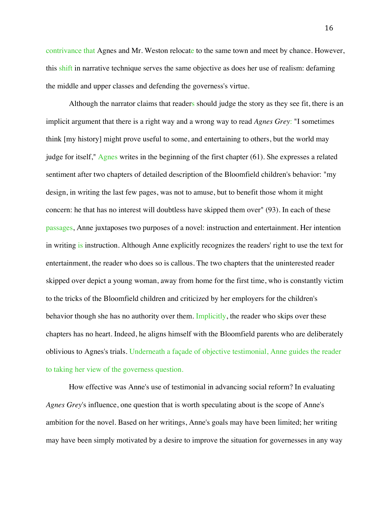contrivance that Agnes and Mr. Weston relocate to the same town and meet by chance. However, this shift in narrative technique serves the same objective as does her use of realism: defaming the middle and upper classes and defending the governess's virtue.

Although the narrator claims that readers should judge the story as they see fit, there is an implicit argument that there is a right way and a wrong way to read *Agnes Grey*: "I sometimes think [my history] might prove useful to some, and entertaining to others, but the world may judge for itself," Agnes writes in the beginning of the first chapter (61). She expresses a related sentiment after two chapters of detailed description of the Bloomfield children's behavior: "my design, in writing the last few pages, was not to amuse, but to benefit those whom it might concern: he that has no interest will doubtless have skipped them over" (93). In each of these passages, Anne juxtaposes two purposes of a novel: instruction and entertainment. Her intention in writing is instruction. Although Anne explicitly recognizes the readers' right to use the text for entertainment, the reader who does so is callous. The two chapters that the uninterested reader skipped over depict a young woman, away from home for the first time, who is constantly victim to the tricks of the Bloomfield children and criticized by her employers for the children's behavior though she has no authority over them. Implicitly, the reader who skips over these chapters has no heart. Indeed, he aligns himself with the Bloomfield parents who are deliberately oblivious to Agnes's trials. Underneath a façade of objective testimonial, Anne guides the reader to taking her view of the governess question.

How effective was Anne's use of testimonial in advancing social reform? In evaluating *Agnes Grey*'s influence, one question that is worth speculating about is the scope of Anne's ambition for the novel. Based on her writings, Anne's goals may have been limited; her writing may have been simply motivated by a desire to improve the situation for governesses in any way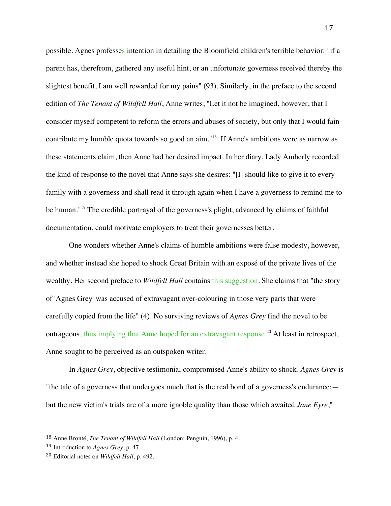possible. Agnes professes intention in detailing the Bloomfield children's terrible behavior: "if a parent has, therefrom, gathered any useful hint, or an unfortunate governess received thereby the slightest benefit, I am well rewarded for my pains" (93). Similarly, in the preface to the second edition of *The Tenant of Wildfell Hall*, Anne writes, "Let it not be imagined, however, that I consider myself competent to reform the errors and abuses of society, but only that I would fain contribute my humble quota towards so good an aim."18 If Anne's ambitions were as narrow as these statements claim, then Anne had her desired impact. In her diary, Lady Amberly recorded the kind of response to the novel that Anne says she desires: "[I] should like to give it to every family with a governess and shall read it through again when I have a governess to remind me to be human."<sup>19</sup> The credible portrayal of the governess's plight, advanced by claims of faithful documentation, could motivate employers to treat their governesses better.

One wonders whether Anne's claims of humble ambitions were false modesty, however, and whether instead she hoped to shock Great Britain with an exposé of the private lives of the wealthy. Her second preface to *Wildfell Hall* contains this suggestion. She claims that "the story of 'Agnes Grey' was accused of extravagant over-colouring in those very parts that were carefully copied from the life" (4). No surviving reviews of *Agnes Grey* find the novel to be outrageous, thus implying that Anne hoped for an extravagant response.<sup>20</sup> At least in retrospect, Anne sought to be perceived as an outspoken writer.

In *Agnes Grey*, objective testimonial compromised Anne's ability to shock. *Agnes Grey* is "the tale of a governess that undergoes much that is the real bond of a governess's endurance; but the new victim's trials are of a more ignoble quality than those which awaited *Jane Eyre*,"

<sup>18</sup> Anne Brontë, *The Tenant of Wildfell Hall* (London: Penguin, 1996), p. 4.

<sup>19</sup> Introduction to *Agnes Grey*, p. 47.

<sup>20</sup> Editorial notes on *Wildfell Hall*, p. 492.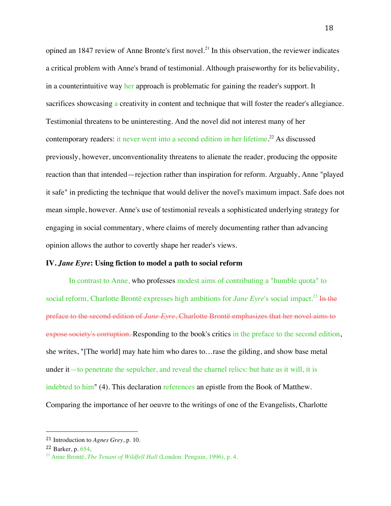opined an 1847 review of Anne Bronte's first novel.<sup>21</sup> In this observation, the reviewer indicates a critical problem with Anne's brand of testimonial. Although praiseworthy for its believability, in a counterintuitive way her approach is problematic for gaining the reader's support. It sacrifices showcasing a creativity in content and technique that will foster the reader's allegiance. Testimonial threatens to be uninteresting. And the novel did not interest many of her contemporary readers: it never went into a second edition in her lifetime.<sup>22</sup> As discussed previously, however, unconventionality threatens to alienate the reader, producing the opposite reaction than that intended—rejection rather than inspiration for reform. Arguably, Anne "played it safe" in predicting the technique that would deliver the novel's maximum impact. Safe does not mean simple, however. Anne's use of testimonial reveals a sophisticated underlying strategy for engaging in social commentary, where claims of merely documenting rather than advancing opinion allows the author to covertly shape her reader's views.

## **IV.** *Jane Eyre***: Using fiction to model a path to social reform**

In contrast to Anne, who professes modest aims of contributing a "humble quota" to social reform, Charlotte Brontë expresses high ambitions for *Jane Eyre*'s social impact.<sup>23</sup> In the preface to the second edition of *Jane Eyre*, Charlotte Brontë emphasizes that her novel aims to expose society's corruption. Responding to the book's critics in the preface to the second edition, she writes, "[The world] may hate him who dares to…rase the gilding, and show base metal under it—to penetrate the sepulcher, and reveal the charnel relics: but hate as it will, it is indebted to him" (4). This declaration references an epistle from the Book of Matthew. Comparing the importance of her oeuvre to the writings of one of the Evangelists, Charlotte

 <sup>21</sup> Introduction to *Agnes Grey*, p. 10.

<sup>22</sup> Barker, p. 654. 23 Anne Brontë, *The Tenant of Wildfell Hall* (London: Penguin, 1996), p. 4.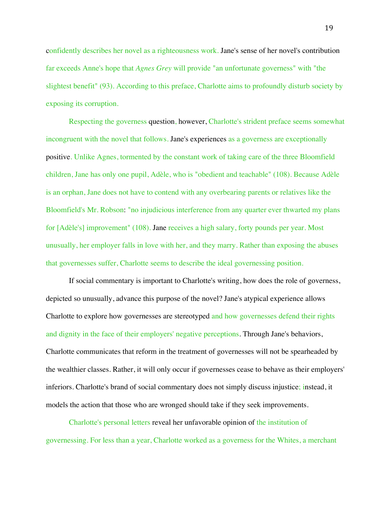confidently describes her novel as a righteousness work. Jane's sense of her novel's contribution far exceeds Anne's hope that *Agnes Grey* will provide "an unfortunate governess" with "the slightest benefit" (93). According to this preface, Charlotte aims to profoundly disturb society by exposing its corruption.

Respecting the governess question, however, Charlotte's strident preface seems somewhat incongruent with the novel that follows. Jane's experiences as a governess are exceptionally positive. Unlike Agnes, tormented by the constant work of taking care of the three Bloomfield children, Jane has only one pupil, Adèle, who is "obedient and teachable" (108). Because Adèle is an orphan, Jane does not have to contend with any overbearing parents or relatives like the Bloomfield's Mr. Robson: "no injudicious interference from any quarter ever thwarted my plans for [Adèle's] improvement" (108). Jane receives a high salary, forty pounds per year. Most unusually, her employer falls in love with her, and they marry. Rather than exposing the abuses that governesses suffer, Charlotte seems to describe the ideal governessing position.

If social commentary is important to Charlotte's writing, how does the role of governess, depicted so unusually, advance this purpose of the novel? Jane's atypical experience allows Charlotte to explore how governesses are stereotyped and how governesses defend their rights and dignity in the face of their employers' negative perceptions. Through Jane's behaviors, Charlotte communicates that reform in the treatment of governesses will not be spearheaded by the wealthier classes. Rather, it will only occur if governesses cease to behave as their employers' inferiors. Charlotte's brand of social commentary does not simply discuss injustice; instead, it models the action that those who are wronged should take if they seek improvements.

Charlotte's personal letters reveal her unfavorable opinion of the institution of governessing. For less than a year, Charlotte worked as a governess for the Whites, a merchant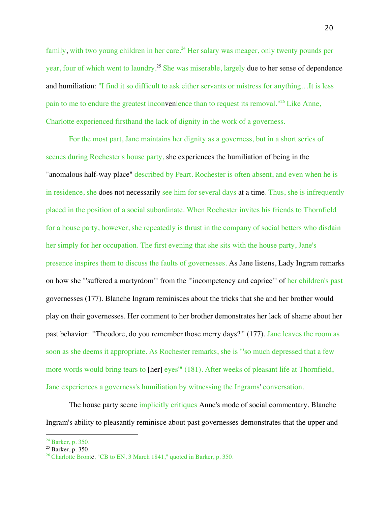family, with two young children in her care.<sup>24</sup> Her salary was meager, only twenty pounds per year, four of which went to laundry.25 She was miserable, largely due to her sense of dependence and humiliation: "I find it so difficult to ask either servants or mistress for anything…It is less pain to me to endure the greatest inconvenience than to request its removal."<sup>26</sup> Like Anne, Charlotte experienced firsthand the lack of dignity in the work of a governess.

For the most part, Jane maintains her dignity as a governess, but in a short series of scenes during Rochester's house party, she experiences the humiliation of being in the "anomalous half-way place" described by Peart. Rochester is often absent, and even when he is in residence, she does not necessarily see him for several days at a time. Thus, she is infrequently placed in the position of a social subordinate. When Rochester invites his friends to Thornfield for a house party, however, she repeatedly is thrust in the company of social betters who disdain her simply for her occupation. The first evening that she sits with the house party, Jane's presence inspires them to discuss the faults of governesses. As Jane listens, Lady Ingram remarks on how she "'suffered a martyrdom'" from the "'incompetency and caprice'" of her children's past governesses (177). Blanche Ingram reminisces about the tricks that she and her brother would play on their governesses. Her comment to her brother demonstrates her lack of shame about her past behavior: "'Theodore, do you remember those merry days?'" (177). Jane leaves the room as soon as she deems it appropriate. As Rochester remarks, she is "'so much depressed that a few more words would bring tears to [her] eyes'" (181). After weeks of pleasant life at Thornfield, Jane experiences a governess's humiliation by witnessing the Ingrams' conversation.

The house party scene implicitly critiques Anne's mode of social commentary. Blanche Ingram's ability to pleasantly reminisce about past governesses demonstrates that the upper and

<sup>&</sup>lt;sup>24</sup> Barker, p. 350.<br><sup>25</sup> Barker, p. 350.<br><sup>26</sup> Charlotte Brontë, "CB to EN, 3 March 1841," quoted in Barker, p. 350.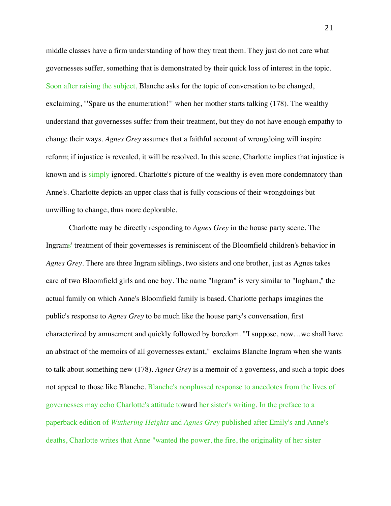middle classes have a firm understanding of how they treat them. They just do not care what governesses suffer, something that is demonstrated by their quick loss of interest in the topic. Soon after raising the subject, Blanche asks for the topic of conversation to be changed, exclaiming, "'Spare us the enumeration!'" when her mother starts talking (178). The wealthy understand that governesses suffer from their treatment, but they do not have enough empathy to change their ways. *Agnes Grey* assumes that a faithful account of wrongdoing will inspire reform; if injustice is revealed, it will be resolved. In this scene, Charlotte implies that injustice is known and is simply ignored. Charlotte's picture of the wealthy is even more condemnatory than Anne's. Charlotte depicts an upper class that is fully conscious of their wrongdoings but unwilling to change, thus more deplorable.

Charlotte may be directly responding to *Agnes Grey* in the house party scene. The Ingrams' treatment of their governesses is reminiscent of the Bloomfield children's behavior in *Agnes Grey*. There are three Ingram siblings, two sisters and one brother, just as Agnes takes care of two Bloomfield girls and one boy. The name "Ingram" is very similar to "Ingham," the actual family on which Anne's Bloomfield family is based. Charlotte perhaps imagines the public's response to *Agnes Grey* to be much like the house party's conversation, first characterized by amusement and quickly followed by boredom. "'I suppose, now…we shall have an abstract of the memoirs of all governesses extant,'" exclaims Blanche Ingram when she wants to talk about something new (178). *Agnes Grey* is a memoir of a governess, and such a topic does not appeal to those like Blanche. Blanche's nonplussed response to anecdotes from the lives of governesses may echo Charlotte's attitude toward her sister's writing. In the preface to a paperback edition of *Wuthering Heights* and *Agnes Grey* published after Emily's and Anne's deaths, Charlotte writes that Anne "wanted the power, the fire, the originality of her sister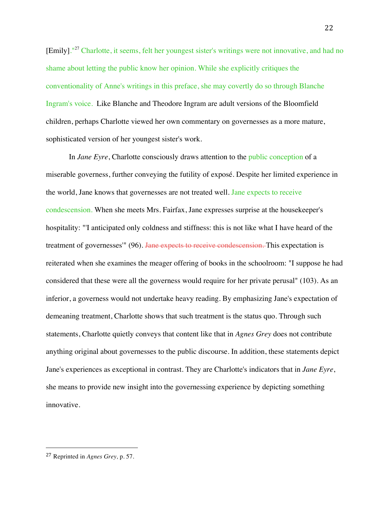[Emily].<sup>"27</sup> Charlotte, it seems, felt her youngest sister's writings were not innovative, and had no shame about letting the public know her opinion. While she explicitly critiques the conventionality of Anne's writings in this preface, she may covertly do so through Blanche Ingram's voice. Like Blanche and Theodore Ingram are adult versions of the Bloomfield children, perhaps Charlotte viewed her own commentary on governesses as a more mature, sophisticated version of her youngest sister's work.

In *Jane Eyre*, Charlotte consciously draws attention to the public conception of a miserable governess, further conveying the futility of exposé. Despite her limited experience in the world, Jane knows that governesses are not treated well. Jane expects to receive condescension. When she meets Mrs. Fairfax, Jane expresses surprise at the housekeeper's hospitality: "'I anticipated only coldness and stiffness: this is not like what I have heard of the treatment of governesses<sup>'"</sup> (96). <del>Jane expects to receive condescension.</del> This expectation is reiterated when she examines the meager offering of books in the schoolroom: "I suppose he had considered that these were all the governess would require for her private perusal" (103). As an inferior, a governess would not undertake heavy reading. By emphasizing Jane's expectation of demeaning treatment, Charlotte shows that such treatment is the status quo. Through such statements, Charlotte quietly conveys that content like that in *Agnes Grey* does not contribute anything original about governesses to the public discourse. In addition, these statements depict Jane's experiences as exceptional in contrast. They are Charlotte's indicators that in *Jane Eyre*, she means to provide new insight into the governessing experience by depicting something innovative.

 <sup>27</sup> Reprinted in *Agnes Grey,* p. 57.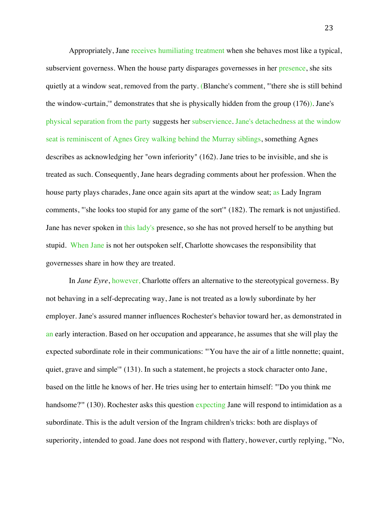Appropriately, Jane receives humiliating treatment when she behaves most like a typical, subservient governess. When the house party disparages governesses in her presence, she sits quietly at a window seat, removed from the party. (Blanche's comment, "'there she is still behind the window-curtain,'" demonstrates that she is physically hidden from the group (176)). Jane's physical separation from the party suggests her subservience. Jane's detachedness at the window seat is reminiscent of Agnes Grey walking behind the Murray siblings, something Agnes describes as acknowledging her "own inferiority" (162). Jane tries to be invisible, and she is treated as such. Consequently, Jane hears degrading comments about her profession. When the house party plays charades, Jane once again sits apart at the window seat; as Lady Ingram comments, "'she looks too stupid for any game of the sort'" (182). The remark is not unjustified. Jane has never spoken in this lady's presence, so she has not proved herself to be anything but stupid. When Jane is not her outspoken self, Charlotte showcases the responsibility that governesses share in how they are treated.

In *Jane Eyre*, however, Charlotte offers an alternative to the stereotypical governess. By not behaving in a self-deprecating way, Jane is not treated as a lowly subordinate by her employer. Jane's assured manner influences Rochester's behavior toward her, as demonstrated in an early interaction. Based on her occupation and appearance, he assumes that she will play the expected subordinate role in their communications: "'You have the air of a little nonnette; quaint, quiet, grave and simple'" (131). In such a statement, he projects a stock character onto Jane, based on the little he knows of her. He tries using her to entertain himself: "'Do you think me handsome?'" (130). Rochester asks this question expecting Jane will respond to intimidation as a subordinate. This is the adult version of the Ingram children's tricks: both are displays of superiority, intended to goad. Jane does not respond with flattery, however, curtly replying, "'No,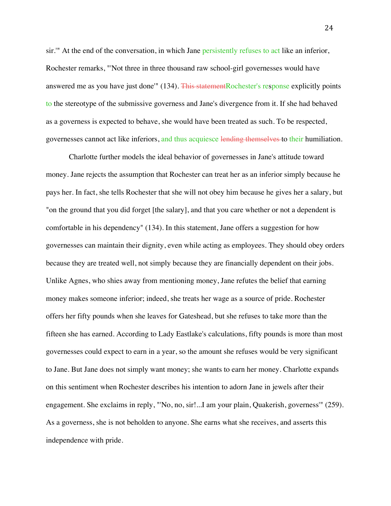sir.'" At the end of the conversation, in which Jane persistently refuses to act like an inferior, Rochester remarks, "'Not three in three thousand raw school-girl governesses would have answered me as you have just done'" (134). This statementRochester's response explicitly points to the stereotype of the submissive governess and Jane's divergence from it. If she had behaved as a governess is expected to behave, she would have been treated as such. To be respected, governesses cannot act like inferiors, and thus acquiesce lending themselves to their humiliation.

Charlotte further models the ideal behavior of governesses in Jane's attitude toward money. Jane rejects the assumption that Rochester can treat her as an inferior simply because he pays her. In fact, she tells Rochester that she will not obey him because he gives her a salary, but "on the ground that you did forget [the salary], and that you care whether or not a dependent is comfortable in his dependency" (134). In this statement, Jane offers a suggestion for how governesses can maintain their dignity, even while acting as employees. They should obey orders because they are treated well, not simply because they are financially dependent on their jobs. Unlike Agnes, who shies away from mentioning money, Jane refutes the belief that earning money makes someone inferior; indeed, she treats her wage as a source of pride. Rochester offers her fifty pounds when she leaves for Gateshead, but she refuses to take more than the fifteen she has earned. According to Lady Eastlake's calculations, fifty pounds is more than most governesses could expect to earn in a year, so the amount she refuses would be very significant to Jane. But Jane does not simply want money; she wants to earn her money. Charlotte expands on this sentiment when Rochester describes his intention to adorn Jane in jewels after their engagement. She exclaims in reply, "'No, no, sir!...I am your plain, Quakerish, governess'" (259). As a governess, she is not beholden to anyone. She earns what she receives, and asserts this independence with pride.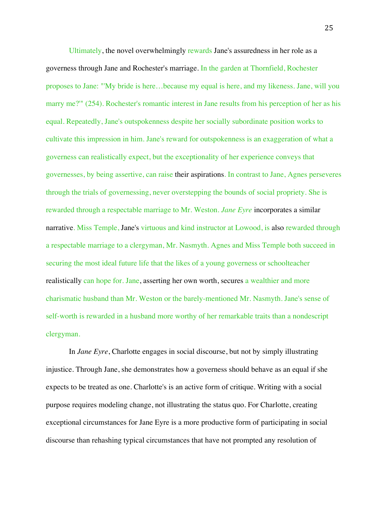Ultimately, the novel overwhelmingly rewards Jane's assuredness in her role as a governess through Jane and Rochester's marriage. In the garden at Thornfield, Rochester proposes to Jane: "'My bride is here…because my equal is here, and my likeness. Jane, will you marry me?'" (254). Rochester's romantic interest in Jane results from his perception of her as his equal. Repeatedly, Jane's outspokenness despite her socially subordinate position works to cultivate this impression in him. Jane's reward for outspokenness is an exaggeration of what a governess can realistically expect, but the exceptionality of her experience conveys that governesses, by being assertive, can raise their aspirations. In contrast to Jane, Agnes perseveres through the trials of governessing, never overstepping the bounds of social propriety. She is rewarded through a respectable marriage to Mr. Weston. *Jane Eyre* incorporates a similar narrative. Miss Temple, Jane's virtuous and kind instructor at Lowood, is also rewarded through a respectable marriage to a clergyman, Mr. Nasmyth. Agnes and Miss Temple both succeed in securing the most ideal future life that the likes of a young governess or schoolteacher realistically can hope for. Jane, asserting her own worth, secures a wealthier and more charismatic husband than Mr. Weston or the barely-mentioned Mr. Nasmyth. Jane's sense of self-worth is rewarded in a husband more worthy of her remarkable traits than a nondescript clergyman.

In *Jane Eyre*, Charlotte engages in social discourse, but not by simply illustrating injustice. Through Jane, she demonstrates how a governess should behave as an equal if she expects to be treated as one. Charlotte's is an active form of critique. Writing with a social purpose requires modeling change, not illustrating the status quo. For Charlotte, creating exceptional circumstances for Jane Eyre is a more productive form of participating in social discourse than rehashing typical circumstances that have not prompted any resolution of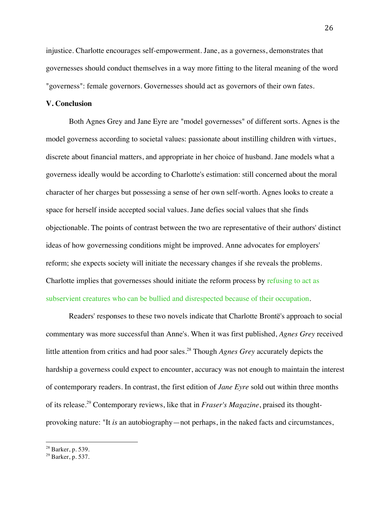injustice. Charlotte encourages self-empowerment. Jane, as a governess, demonstrates that governesses should conduct themselves in a way more fitting to the literal meaning of the word "governess": female governors. Governesses should act as governors of their own fates.

#### **V. Conclusion**

Both Agnes Grey and Jane Eyre are "model governesses" of different sorts. Agnes is the model governess according to societal values: passionate about instilling children with virtues, discrete about financial matters, and appropriate in her choice of husband. Jane models what a governess ideally would be according to Charlotte's estimation: still concerned about the moral character of her charges but possessing a sense of her own self-worth. Agnes looks to create a space for herself inside accepted social values. Jane defies social values that she finds objectionable. The points of contrast between the two are representative of their authors' distinct ideas of how governessing conditions might be improved. Anne advocates for employers' reform; she expects society will initiate the necessary changes if she reveals the problems. Charlotte implies that governesses should initiate the reform process by refusing to act as subservient creatures who can be bullied and disrespected because of their occupation.

Readers' responses to these two novels indicate that Charlotte Brontë's approach to social commentary was more successful than Anne's. When it was first published, *Agnes Grey* received little attention from critics and had poor sales. <sup>28</sup> Though *Agnes Grey* accurately depicts the hardship a governess could expect to encounter, accuracy was not enough to maintain the interest of contemporary readers. In contrast, the first edition of *Jane Eyre* sold out within three months of its release. <sup>29</sup> Contemporary reviews, like that in *Fraser's Magazine*, praised its thoughtprovoking nature: "It *is* an autobiography—not perhaps, in the naked facts and circumstances,

 $^{28}$  Barker, p. 539.<br><sup>29</sup> Barker, p. 537.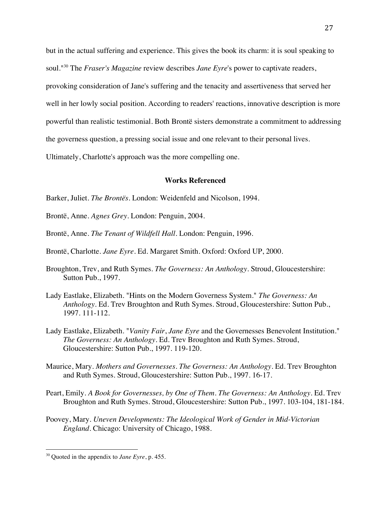but in the actual suffering and experience. This gives the book its charm: it is soul speaking to soul."30 The *Fraser's Magazine* review describes *Jane Eyre*'s power to captivate readers, provoking consideration of Jane's suffering and the tenacity and assertiveness that served her well in her lowly social position. According to readers' reactions, innovative description is more powerful than realistic testimonial. Both Brontë sisters demonstrate a commitment to addressing the governess question, a pressing social issue and one relevant to their personal lives.

Ultimately, Charlotte's approach was the more compelling one.

# **Works Referenced**

- Barker, Juliet. *The Brontës*. London: Weidenfeld and Nicolson, 1994.
- Brontë, Anne. *Agnes Grey*. London: Penguin, 2004.
- Brontë, Anne. *The Tenant of Wildfell Hall*. London: Penguin, 1996.
- Brontë, Charlotte. *Jane Eyre*. Ed. Margaret Smith. Oxford: Oxford UP, 2000.
- Broughton, Trev, and Ruth Symes. *The Governess: An Anthology*. Stroud, Gloucestershire: Sutton Pub., 1997.
- Lady Eastlake, Elizabeth. "Hints on the Modern Governess System." *The Governess: An Anthology*. Ed. Trev Broughton and Ruth Symes. Stroud, Gloucestershire: Sutton Pub., 1997. 111-112.
- Lady Eastlake, Elizabeth. "*Vanity Fair*, *Jane Eyre* and the Governesses Benevolent Institution." *The Governess: An Anthology*. Ed. Trev Broughton and Ruth Symes. Stroud, Gloucestershire: Sutton Pub., 1997. 119-120.
- Maurice, Mary. *Mothers and Governesses*. *The Governess: An Anthology*. Ed. Trev Broughton and Ruth Symes. Stroud, Gloucestershire: Sutton Pub., 1997. 16-17.
- Peart, Emily. *A Book for Governesses, by One of Them. The Governess: An Anthology*. Ed. Trev Broughton and Ruth Symes. Stroud, Gloucestershire: Sutton Pub., 1997. 103-104, 181-184.
- Poovey, Mary. *Uneven Developments: The Ideological Work of Gender in Mid-Victorian England*. Chicago: University of Chicago, 1988.

<sup>30</sup> Quoted in the appendix to *Jane Eyre*, p. 455.